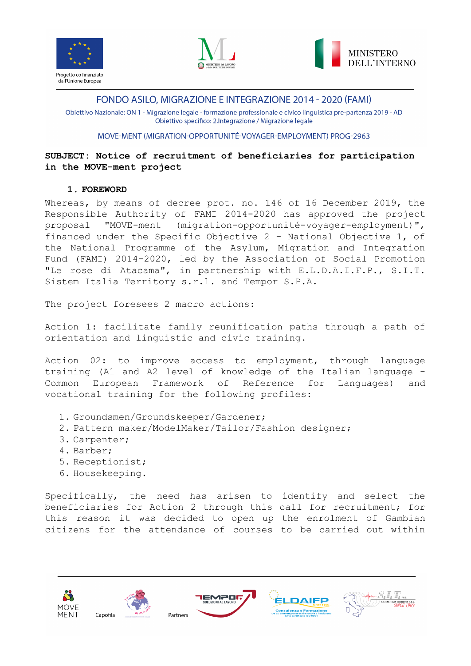





Obiettivo Nazionale: ON 1 - Migrazione legale - formazione professionale e civico linguistica pre-partenza 2019 - AD Obiettivo specifico: 2.Integrazione / Migrazione legale

### MOVE-MENT (MIGRATION-OPPORTUNITÉ-VOYAGER-EMPLOYMENT) PROG-2963

# **SUBJECT: Notice of recruitment of beneficiaries for participation in the MOVE-ment project**

### **1. FOREWORD**

Whereas, by means of decree prot. no. 146 of 16 December 2019, the Responsible Authority of FAMI 2014-2020 has approved the project proposal "MOVE-ment (migration-opportunité-voyager-employment)", financed under the Specific Objective 2 - National Objective 1, of the National Programme of the Asylum, Migration and Integration Fund (FAMI) 2014-2020, led by the Association of Social Promotion "Le rose di Atacama", in partnership with E.L.D.A.I.F.P., S.I.T. Sistem Italia Territory s.r.l. and Tempor S.P.A.

The project foresees 2 macro actions:

Action 1: facilitate family reunification paths through a path of orientation and linguistic and civic training.

Action 02: to improve access to employment, through language training (A1 and A2 level of knowledge of the Italian language - Common European Framework of Reference for Languages) and vocational training for the following profiles:

- 1. Groundsmen/Groundskeeper/Gardener;
- 2. Pattern maker/ModelMaker/Tailor/Fashion designer;
- 3. Carpenter;
- 4. Barber;
- 5. Receptionist;
- 6. Housekeeping.

Specifically, the need has arisen to identify and select the beneficiaries for Action 2 through this call for recruitment; for this reason it was decided to open up the enrolment of Gambian citizens for the attendance of courses to be carried out within

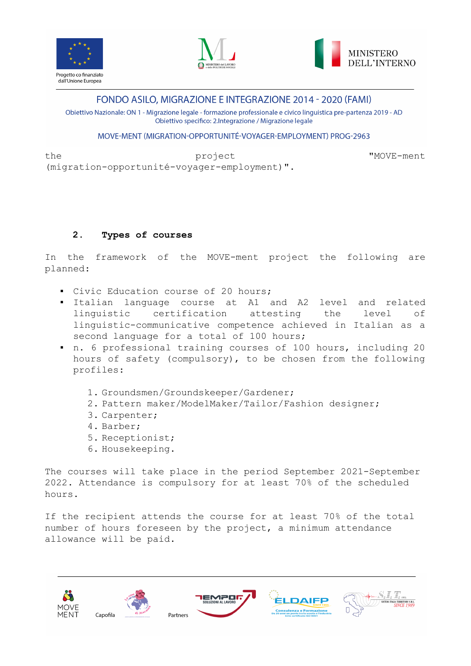





Obiettivo Nazionale: ON 1 - Migrazione legale - formazione professionale e civico linguistica pre-partenza 2019 - AD Obiettivo specifico: 2.Integrazione / Migrazione legale

## MOVE-MENT (MIGRATION-OPPORTUNITÉ-VOYAGER-EMPLOYMENT) PROG-2963

the project "MOVE-ment" by the state of the state of the project  $\sim$  "MOVE-ment"  $\sim$ (migration-opportunité-voyager-employment)".

## **2. Types of courses**

In the framework of the MOVE-ment project the following are planned:

- Civic Education course of 20 hours;
- Italian language course at A1 and A2 level and related linguistic certification attesting the level of linguistic-communicative competence achieved in Italian as a second language for a total of 100 hours;
- n. 6 professional training courses of 100 hours, including 20 hours of safety (compulsory), to be chosen from the following profiles:
	- 1. Groundsmen/Groundskeeper/Gardener;
	- 2. Pattern maker/ModelMaker/Tailor/Fashion designer;
	- 3. Carpenter;
	- 4. Barber;
	- 5. Receptionist;
	- 6. Housekeeping.

The courses will take place in the period September 2021-September 2022. Attendance is compulsory for at least 70% of the scheduled hours.

If the recipient attends the course for at least 70% of the total number of hours foreseen by the project, a minimum attendance allowance will be paid.

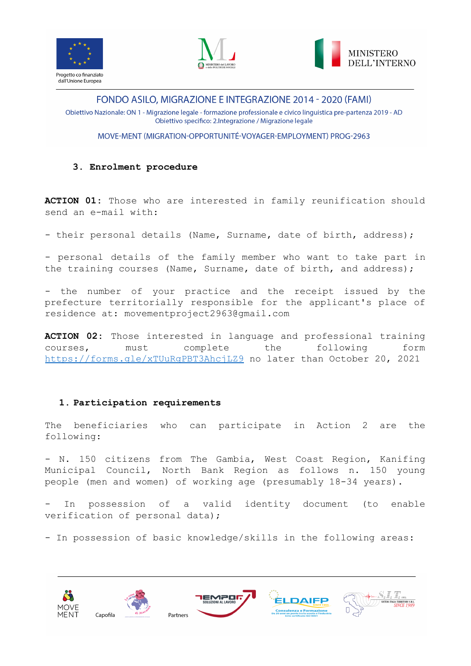





Obiettivo Nazionale: ON 1 - Migrazione legale - formazione professionale e civico linguistica pre-partenza 2019 - AD Obiettivo specifico: 2.Integrazione / Migrazione legale

MOVE-MENT (MIGRATION-OPPORTUNITÉ-VOYAGER-EMPLOYMENT) PROG-2963

### **3. Enrolment procedure**

**ACTION 01:** Those who are interested in family reunification should send an e-mail with:

- their personal details (Name, Surname, date of birth, address);

- personal details of the family member who want to take part in the training courses (Name, Surname, date of birth, and address);

- the number of your practice and the receipt issued by the prefecture territorially responsible for the applicant's place of residence at: movementproject2963@gmail.com

**ACTION 02:** Those interested in language and professional training courses, must complete the following form <https://forms.gle/xTUuRgPBT3AhcjLZ9> no later than October 20, 2021

## **1. Participation requirements**

The beneficiaries who can participate in Action 2 are the following:

- N. 150 citizens from The Gambia, West Coast Region, Kanifing Municipal Council, North Bank Region as follows n. 150 young people (men and women) of working age (presumably 18-34 years).

In possession of a valid identity document (to enable verification of personal data);

- In possession of basic knowledge/skills in the following areas:

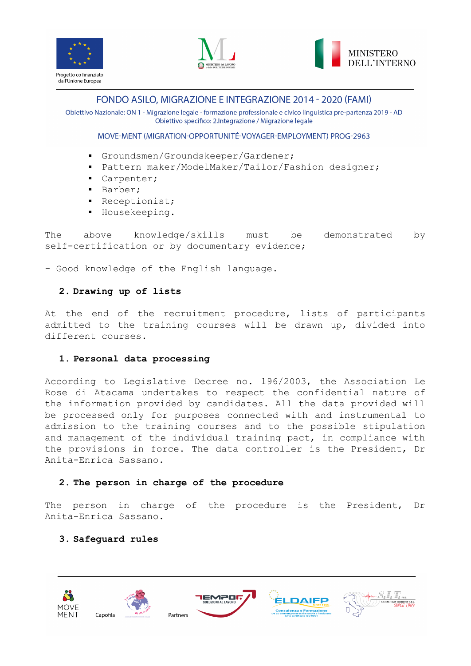





Obiettivo Nazionale: ON 1 - Migrazione legale - formazione professionale e civico linguistica pre-partenza 2019 - AD Obiettivo specifico: 2.Integrazione / Migrazione legale

### MOVE-MENT (MIGRATION-OPPORTUNITÉ-VOYAGER-EMPLOYMENT) PROG-2963

- Groundsmen/Groundskeeper/Gardener;
- Pattern maker/ModelMaker/Tailor/Fashion designer;
- Carpenter;
- Barber;
- Receptionist;
- Housekeeping.

The above knowledge/skills must be demonstrated by self-certification or by documentary evidence;

- Good knowledge of the English language.

#### **2. Drawing up of lists**

At the end of the recruitment procedure, lists of participants admitted to the training courses will be drawn up, divided into different courses.

#### **1. Personal data processing**

According to Legislative Decree no. 196/2003, the Association Le Rose di Atacama undertakes to respect the confidential nature of the information provided by candidates. All the data provided will be processed only for purposes connected with and instrumental to admission to the training courses and to the possible stipulation and management of the individual training pact, in compliance with the provisions in force. The data controller is the President, Dr Anita-Enrica Sassano.

#### **2. The person in charge of the procedure**

The person in charge of the procedure is the President, Dr Anita-Enrica Sassano.

#### **3. Safeguard rules**